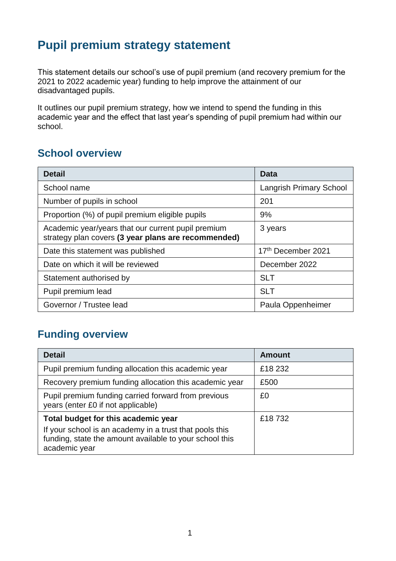# **Pupil premium strategy statement**

This statement details our school's use of pupil premium (and recovery premium for the 2021 to 2022 academic year) funding to help improve the attainment of our disadvantaged pupils.

It outlines our pupil premium strategy, how we intend to spend the funding in this academic year and the effect that last year's spending of pupil premium had within our school.

#### **School overview**

| <b>Detail</b>                                                                                             | Data                           |
|-----------------------------------------------------------------------------------------------------------|--------------------------------|
| School name                                                                                               | <b>Langrish Primary School</b> |
| Number of pupils in school                                                                                | 201                            |
| Proportion (%) of pupil premium eligible pupils                                                           | 9%                             |
| Academic year/years that our current pupil premium<br>strategy plan covers (3 year plans are recommended) | 3 years                        |
| Date this statement was published                                                                         | 17 <sup>th</sup> December 2021 |
| Date on which it will be reviewed                                                                         | December 2022                  |
| Statement authorised by                                                                                   | <b>SLT</b>                     |
| Pupil premium lead                                                                                        | <b>SLT</b>                     |
| Governor / Trustee lead                                                                                   | Paula Oppenheimer              |

## **Funding overview**

| <b>Detail</b>                                                                                                                       | <b>Amount</b> |
|-------------------------------------------------------------------------------------------------------------------------------------|---------------|
| Pupil premium funding allocation this academic year                                                                                 | £18 232       |
| Recovery premium funding allocation this academic year                                                                              | £500          |
| Pupil premium funding carried forward from previous<br>years (enter £0 if not applicable)                                           | £0            |
| Total budget for this academic year                                                                                                 | £18732        |
| If your school is an academy in a trust that pools this<br>funding, state the amount available to your school this<br>academic year |               |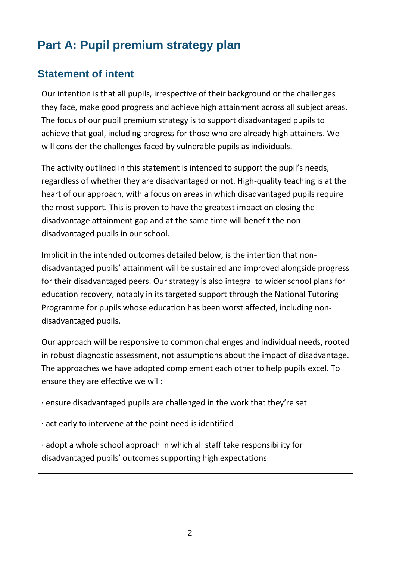# **Part A: Pupil premium strategy plan**

## **Statement of intent**

Our intention is that all pupils, irrespective of their background or the challenges they face, make good progress and achieve high attainment across all subject areas. The focus of our pupil premium strategy is to support disadvantaged pupils to achieve that goal, including progress for those who are already high attainers. We will consider the challenges faced by vulnerable pupils as individuals.

The activity outlined in this statement is intended to support the pupil's needs, regardless of whether they are disadvantaged or not. High-quality teaching is at the heart of our approach, with a focus on areas in which disadvantaged pupils require the most support. This is proven to have the greatest impact on closing the disadvantage attainment gap and at the same time will benefit the nondisadvantaged pupils in our school.

Implicit in the intended outcomes detailed below, is the intention that nondisadvantaged pupils' attainment will be sustained and improved alongside progress for their disadvantaged peers. Our strategy is also integral to wider school plans for education recovery, notably in its targeted support through the National Tutoring Programme for pupils whose education has been worst affected, including nondisadvantaged pupils.

Our approach will be responsive to common challenges and individual needs, rooted in robust diagnostic assessment, not assumptions about the impact of disadvantage. The approaches we have adopted complement each other to help pupils excel. To ensure they are effective we will:

· ensure disadvantaged pupils are challenged in the work that they're set

· act early to intervene at the point need is identified

· adopt a whole school approach in which all staff take responsibility for disadvantaged pupils' outcomes supporting high expectations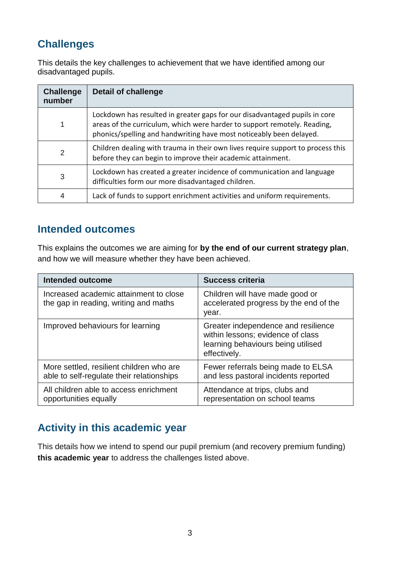# **Challenges**

This details the key challenges to achievement that we have identified among our disadvantaged pupils.

| <b>Challenge</b><br>number | Detail of challenge                                                                                                                                                                                                           |
|----------------------------|-------------------------------------------------------------------------------------------------------------------------------------------------------------------------------------------------------------------------------|
|                            | Lockdown has resulted in greater gaps for our disadvantaged pupils in core<br>areas of the curriculum, which were harder to support remotely. Reading,<br>phonics/spelling and handwriting have most noticeably been delayed. |
| 2                          | Children dealing with trauma in their own lives require support to process this<br>before they can begin to improve their academic attainment.                                                                                |
| 3                          | Lockdown has created a greater incidence of communication and language<br>difficulties form our more disadvantaged children.                                                                                                  |
| 4                          | Lack of funds to support enrichment activities and uniform requirements.                                                                                                                                                      |

#### **Intended outcomes**

This explains the outcomes we are aiming for **by the end of our current strategy plan**, and how we will measure whether they have been achieved.

| <b>Intended outcome</b>                                                               | <b>Success criteria</b>                                                                                                        |
|---------------------------------------------------------------------------------------|--------------------------------------------------------------------------------------------------------------------------------|
| Increased academic attainment to close<br>the gap in reading, writing and maths       | Children will have made good or<br>accelerated progress by the end of the<br>year.                                             |
| Improved behaviours for learning                                                      | Greater independence and resilience<br>within lessons; evidence of class<br>learning behaviours being utilised<br>effectively. |
| More settled, resilient children who are<br>able to self-regulate their relationships | Fewer referrals being made to ELSA<br>and less pastoral incidents reported                                                     |
| All children able to access enrichment<br>opportunities equally                       | Attendance at trips, clubs and<br>representation on school teams                                                               |

# **Activity in this academic year**

This details how we intend to spend our pupil premium (and recovery premium funding) **this academic year** to address the challenges listed above.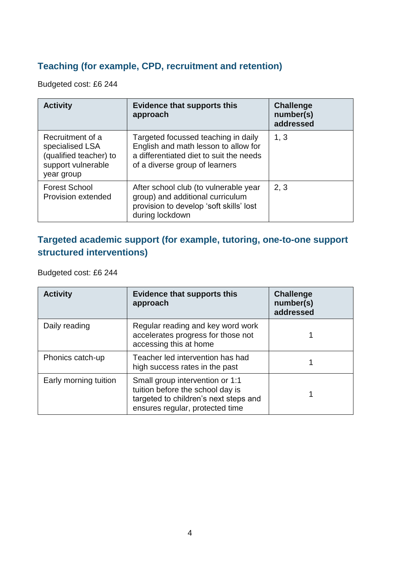#### **Teaching (for example, CPD, recruitment and retention)**

Budgeted cost: £6 244

| <b>Activity</b>                                                                                   | <b>Evidence that supports this</b><br>approach                                                                                                           | <b>Challenge</b><br>number(s)<br>addressed |
|---------------------------------------------------------------------------------------------------|----------------------------------------------------------------------------------------------------------------------------------------------------------|--------------------------------------------|
| Recruitment of a<br>specialised LSA<br>(qualified teacher) to<br>support vulnerable<br>year group | Targeted focussed teaching in daily<br>English and math lesson to allow for<br>a differentiated diet to suit the needs<br>of a diverse group of learners | 1, 3                                       |
| <b>Forest School</b><br>Provision extended                                                        | After school club (to vulnerable year<br>group) and additional curriculum<br>provision to develop 'soft skills' lost<br>during lockdown                  | 2, 3                                       |

#### **Targeted academic support (for example, tutoring, one-to-one support structured interventions)**

Budgeted cost: £6 244

| <b>Activity</b>       | <b>Evidence that supports this</b><br>approach                                                                                                  | <b>Challenge</b><br>number(s)<br>addressed |
|-----------------------|-------------------------------------------------------------------------------------------------------------------------------------------------|--------------------------------------------|
| Daily reading         | Regular reading and key word work<br>accelerates progress for those not<br>accessing this at home                                               |                                            |
| Phonics catch-up      | Teacher led intervention has had<br>high success rates in the past                                                                              |                                            |
| Early morning tuition | Small group intervention or 1:1<br>tuition before the school day is<br>targeted to children's next steps and<br>ensures regular, protected time |                                            |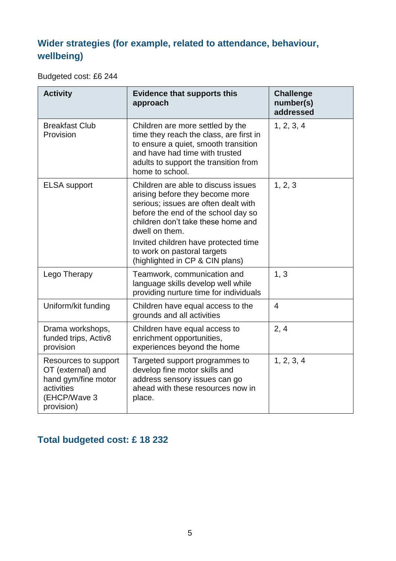## **Wider strategies (for example, related to attendance, behaviour, wellbeing)**

Budgeted cost: £6 244

| <b>Activity</b>                                                                                              | <b>Evidence that supports this</b><br>approach                                                                                                                                                                                                                                                                          | <b>Challenge</b><br>number(s)<br>addressed |
|--------------------------------------------------------------------------------------------------------------|-------------------------------------------------------------------------------------------------------------------------------------------------------------------------------------------------------------------------------------------------------------------------------------------------------------------------|--------------------------------------------|
| <b>Breakfast Club</b><br>Provision                                                                           | Children are more settled by the<br>time they reach the class, are first in<br>to ensure a quiet, smooth transition<br>and have had time with trusted<br>adults to support the transition from<br>home to school.                                                                                                       | 1, 2, 3, 4                                 |
| <b>ELSA</b> support                                                                                          | Children are able to discuss issues<br>arising before they become more<br>serious; issues are often dealt with<br>before the end of the school day so<br>children don't take these home and<br>dwell on them.<br>Invited children have protected time<br>to work on pastoral targets<br>(highlighted in CP & CIN plans) | 1, 2, 3                                    |
| Lego Therapy                                                                                                 | Teamwork, communication and<br>language skills develop well while<br>providing nurture time for individuals                                                                                                                                                                                                             | 1, 3                                       |
| Uniform/kit funding                                                                                          | Children have equal access to the<br>grounds and all activities                                                                                                                                                                                                                                                         | $\overline{4}$                             |
| Drama workshops,<br>funded trips, Activ8<br>provision                                                        | Children have equal access to<br>enrichment opportunities,<br>experiences beyond the home                                                                                                                                                                                                                               | 2, 4                                       |
| Resources to support<br>OT (external) and<br>hand gym/fine motor<br>activities<br>(EHCP/Wave 3<br>provision) | Targeted support programmes to<br>develop fine motor skills and<br>address sensory issues can go<br>ahead with these resources now in<br>place.                                                                                                                                                                         | 1, 2, 3, 4                                 |

## **Total budgeted cost: £ 18 232**